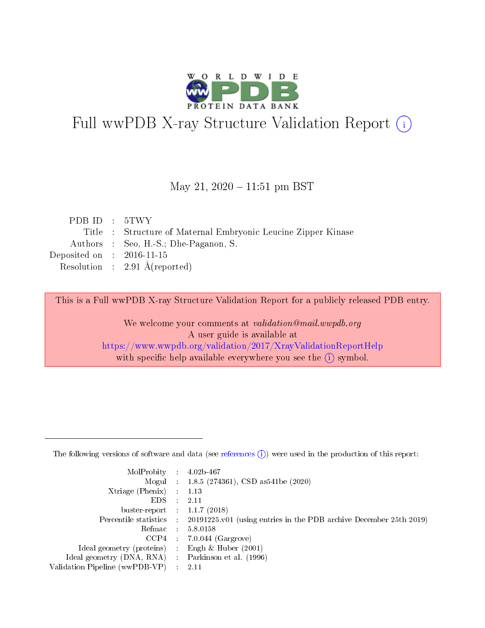

# Full wwPDB X-ray Structure Validation Report (i)

### May 21,  $2020 - 11:51$  pm BST

| PDBID : 5TWY                |                                                               |
|-----------------------------|---------------------------------------------------------------|
|                             | Title : Structure of Maternal Embryonic Leucine Zipper Kinase |
|                             | Authors : Seo, H.-S.; Dhe-Paganon, S.                         |
| Deposited on : $2016-11-15$ |                                                               |
|                             | Resolution : $2.91 \text{ Å}$ (reported)                      |
|                             |                                                               |

This is a Full wwPDB X-ray Structure Validation Report for a publicly released PDB entry.

We welcome your comments at validation@mail.wwpdb.org A user guide is available at <https://www.wwpdb.org/validation/2017/XrayValidationReportHelp> with specific help available everywhere you see the  $(i)$  symbol.

The following versions of software and data (see [references](https://www.wwpdb.org/validation/2017/XrayValidationReportHelp#references)  $(1)$ ) were used in the production of this report:

| $MolProbability$ 4.02b-467                          |                                                                                            |
|-----------------------------------------------------|--------------------------------------------------------------------------------------------|
|                                                     | Mogul : 1.8.5 (274361), CSD as 541 be (2020)                                               |
| $Xtriangle (Phenix)$ : 1.13                         |                                                                                            |
| $EDS$ :                                             | -2.11                                                                                      |
| buster-report : $1.1.7$ (2018)                      |                                                                                            |
|                                                     | Percentile statistics : 20191225.v01 (using entries in the PDB archive December 25th 2019) |
| Refmac $5.8.0158$                                   |                                                                                            |
|                                                     | $CCP4$ 7.0.044 (Gargrove)                                                                  |
| Ideal geometry (proteins) :                         | Engh $\&$ Huber (2001)                                                                     |
| Ideal geometry (DNA, RNA) : Parkinson et al. (1996) |                                                                                            |
| Validation Pipeline (wwPDB-VP) : 2.11               |                                                                                            |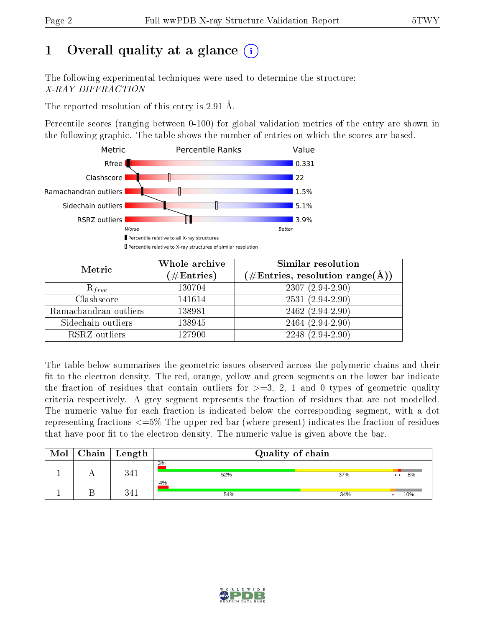# 1 [O](https://www.wwpdb.org/validation/2017/XrayValidationReportHelp#overall_quality)verall quality at a glance  $(i)$

The following experimental techniques were used to determine the structure: X-RAY DIFFRACTION

The reported resolution of this entry is 2.91 Å.

Percentile scores (ranging between 0-100) for global validation metrics of the entry are shown in the following graphic. The table shows the number of entries on which the scores are based.



| Metric                | Whole archive<br>$(\#\mathrm{Entries})$ | <b>Similar resolution</b><br>$(\#\text{Entries},\,\text{resolution}\,\,\text{range}(\textup{\AA}))$ |  |  |
|-----------------------|-----------------------------------------|-----------------------------------------------------------------------------------------------------|--|--|
| $R_{free}$            | 130704                                  | $2307(2.94-2.90)$                                                                                   |  |  |
| Clashscore            | 141614                                  | $2531(2.94-2.90)$                                                                                   |  |  |
| Ramachandran outliers | 138981                                  | $2462(2.94-2.90)$                                                                                   |  |  |
| Sidechain outliers    | 138945                                  | 2464 (2.94-2.90)                                                                                    |  |  |
| RSRZ outliers         | 127900                                  | $2248(2.94-2.90)$                                                                                   |  |  |

The table below summarises the geometric issues observed across the polymeric chains and their fit to the electron density. The red, orange, yellow and green segments on the lower bar indicate the fraction of residues that contain outliers for  $>=3, 2, 1$  and 0 types of geometric quality criteria respectively. A grey segment represents the fraction of residues that are not modelled. The numeric value for each fraction is indicated below the corresponding segment, with a dot representing fractions  $\epsilon=5\%$  The upper red bar (where present) indicates the fraction of residues that have poor fit to the electron density. The numeric value is given above the bar.

| Mol | Chain | $\vert$ Length | Quality of chain |     |                            |  |  |
|-----|-------|----------------|------------------|-----|----------------------------|--|--|
|     |       | 3/11           | 3%<br>52%        | 37% | 8%<br>$\ddot{\phantom{a}}$ |  |  |
|     |       | 2/1            | 4%<br>54%        | 34% | 10%                        |  |  |

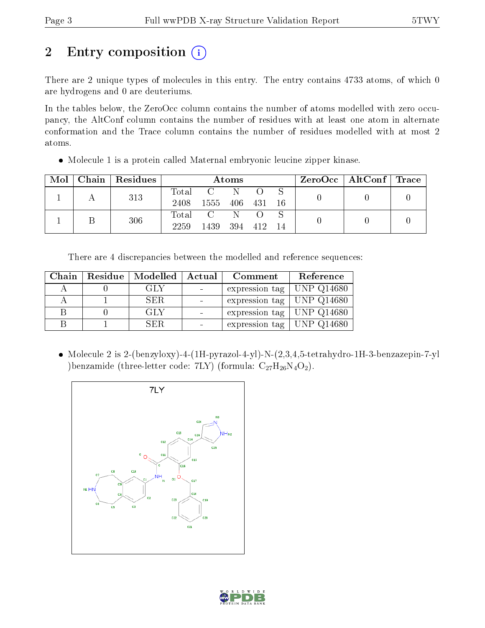# 2 Entry composition (i)

There are 2 unique types of molecules in this entry. The entry contains 4733 atoms, of which 0 are hydrogens and 0 are deuteriums.

In the tables below, the ZeroOcc column contains the number of atoms modelled with zero occupancy, the AltConf column contains the number of residues with at least one atom in alternate conformation and the Trace column contains the number of residues modelled with at most 2 atoms.

• Molecule 1 is a protein called Maternal embryonic leucine zipper kinase.

| Mol |  | Chain   Residues | Atoms |         |     |       | $\text{ZeroOcc}$   AltConf   Trace |  |  |
|-----|--|------------------|-------|---------|-----|-------|------------------------------------|--|--|
|     |  | 313              | Total |         | N.  |       |                                    |  |  |
|     |  |                  | 2408  | 1555    | 406 | - 431 | 16                                 |  |  |
|     |  | 306              |       | Total C | -N  |       |                                    |  |  |
|     |  | 2259             | 1439  | -394    | 412 | $-14$ |                                    |  |  |

There are 4 discrepancies between the modelled and reference sequences:

| Chain | Residue   Modelled | Actual | Comment                       | Reference |
|-------|--------------------|--------|-------------------------------|-----------|
|       | GLY                |        | expression tag   UNP $Q14680$ |           |
|       | SER.               |        | expression tag   UNP $Q14680$ |           |
|       | GLY                |        | expression tag   UNP Q14680   |           |
|       | SER                |        | expression tag   UNP $Q14680$ |           |

 Molecule 2 is 2-(benzyloxy)-4-(1H-pyrazol-4-yl)-N-(2,3,4,5-tetrahydro-1H-3-benzazepin-7-yl )benzamide (three-letter code: 7LY) (formula:  $C_{27}H_{26}N_4O_2$ ).



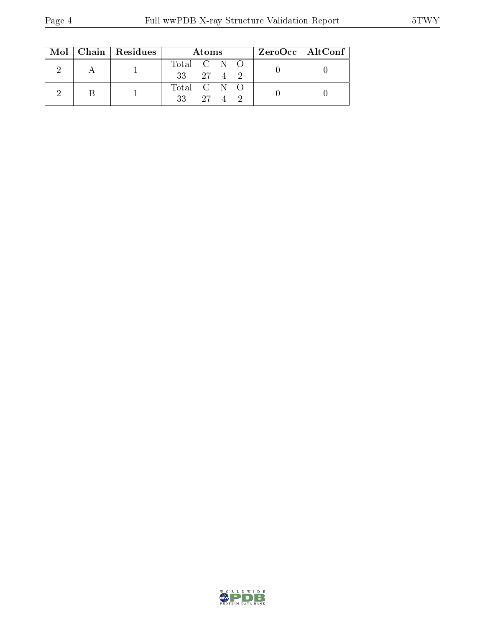|  |  | $Mol$   Chain   Residues | Atoms                | $ZeroOcc \   \$ AltConf |
|--|--|--------------------------|----------------------|-------------------------|
|  |  |                          | Total C N O          |                         |
|  |  |                          | $33 \t 27 \t 4 \t 2$ |                         |
|  |  |                          | Total C N O          |                         |
|  |  | $33 \t 27 \t 4 \t 2$     |                      |                         |

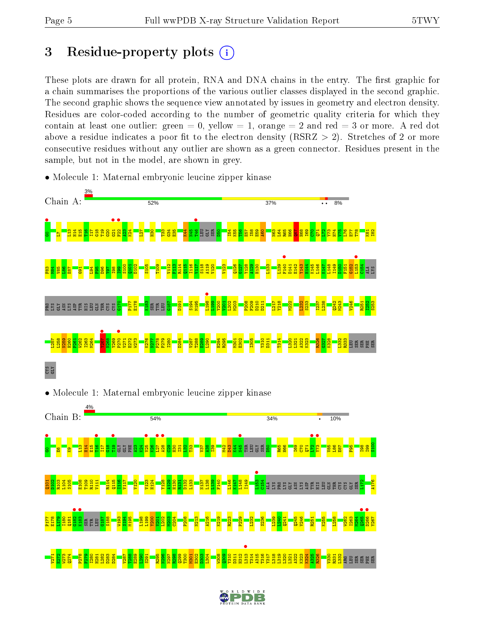## 3 Residue-property plots  $(i)$

These plots are drawn for all protein, RNA and DNA chains in the entry. The first graphic for a chain summarises the proportions of the various outlier classes displayed in the second graphic. The second graphic shows the sequence view annotated by issues in geometry and electron density. Residues are color-coded according to the number of geometric quality criteria for which they contain at least one outlier: green  $= 0$ , yellow  $= 1$ , orange  $= 2$  and red  $= 3$  or more. A red dot above a residue indicates a poor fit to the electron density (RSRZ  $> 2$ ). Stretches of 2 or more consecutive residues without any outlier are shown as a green connector. Residues present in the sample, but not in the model, are shown in grey.



• Molecule 1: Maternal embryonic leucine zipper kinase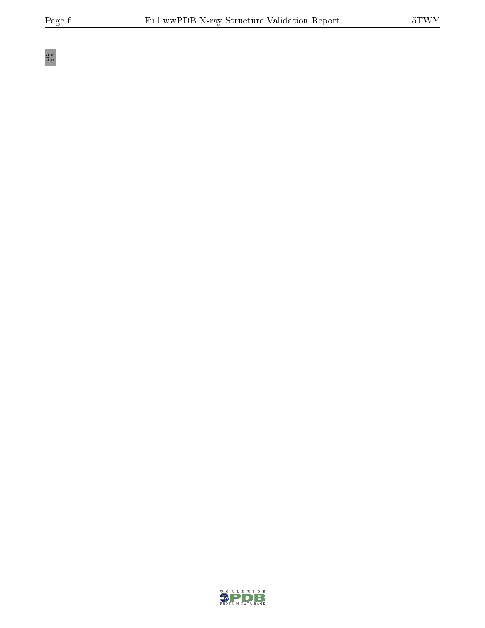CYS GLY

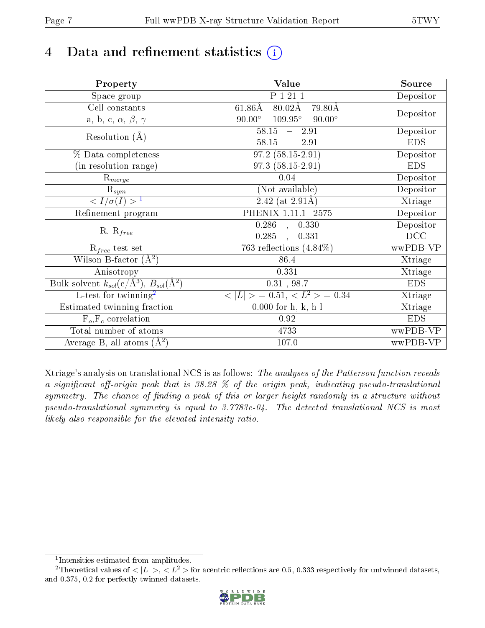# 4 Data and refinement statistics  $(i)$

| Property                                                             | Value                                            | Source     |
|----------------------------------------------------------------------|--------------------------------------------------|------------|
| Space group                                                          | P 1 21 1                                         | Depositor  |
| Cell constants                                                       | $61.86\text{\AA}$<br>$80.02\text{\AA}$<br>79.80Å |            |
| a, b, c, $\alpha,\,\beta,\,\gamma$                                   | $90.00^\circ$<br>$109.95^\circ$<br>$90.00^\circ$ | Depositor  |
| Resolution $(A)$                                                     | $58.15 - 2.91$                                   | Depositor  |
|                                                                      | $58.15 - 2.91$                                   | <b>EDS</b> |
| % Data completeness                                                  | $97.2(58.15-2.91)$                               | Depositor  |
| (in resolution range)                                                | $97.3(58.15-2.91)$                               | <b>EDS</b> |
| $R_{merge}$                                                          | 0.04                                             | Depositor  |
| $\mathrm{R}_{sym}$                                                   | (Not available)                                  | Depositor  |
| $\sqrt{I/\sigma}(I) > 1$                                             | 2.42 (at $2.91\text{\AA}$ )                      | Xtriage    |
| Refinement program                                                   | PHENIX 1.11.1 2575                               | Depositor  |
|                                                                      | $\overline{0.286}$ ,<br>0.330                    | Depositor  |
| $R, R_{free}$                                                        | 0.285<br>0.331                                   | DCC        |
| $R_{free}$ test set                                                  | 763 reflections $(4.84\%)$                       | wwPDB-VP   |
| Wilson B-factor $(A^2)$                                              | 86.4                                             | Xtriage    |
| Anisotropy                                                           | 0.331                                            | Xtriage    |
| Bulk solvent $k_{sol}(e/\mathring{A}^3)$ , $B_{sol}(\mathring{A}^2)$ | 0.31, 98.7                                       | <b>EDS</b> |
| L-test for twinning <sup>2</sup>                                     | $< L >$ = 0.51, $< L2 >$ = 0.34                  | Xtriage    |
| Estimated twinning fraction                                          | $\overline{0.000}$ for h,-k,-h-l                 | Xtriage    |
| $F_o, F_c$ correlation                                               | 0.92                                             | <b>EDS</b> |
| Total number of atoms                                                | 4733                                             | wwPDB-VP   |
| Average B, all atoms $(A^2)$                                         | 107.0                                            | wwPDB-VP   |

Xtriage's analysis on translational NCS is as follows: The analyses of the Patterson function reveals a significant off-origin peak that is  $38.28\%$  of the origin peak, indicating pseudo-translational symmetry. The chance of finding a peak of this or larger height randomly in a structure without pseudo-translational symmetry is equal to 3.7783e-04. The detected translational NCS is most likely also responsible for the elevated intensity ratio.

<sup>&</sup>lt;sup>2</sup>Theoretical values of  $\langle |L| \rangle$ ,  $\langle L^2 \rangle$  for acentric reflections are 0.5, 0.333 respectively for untwinned datasets, and 0.375, 0.2 for perfectly twinned datasets.



<span id="page-6-1"></span><span id="page-6-0"></span><sup>1</sup> Intensities estimated from amplitudes.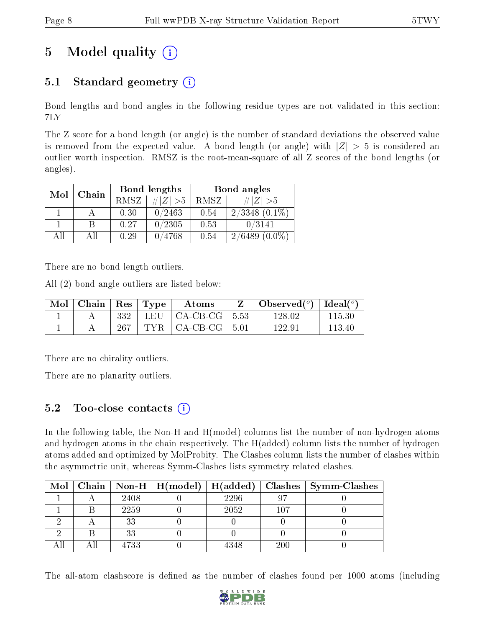# 5 Model quality  $(i)$

## 5.1 Standard geometry  $(i)$

Bond lengths and bond angles in the following residue types are not validated in this section: 7LY

The Z score for a bond length (or angle) is the number of standard deviations the observed value is removed from the expected value. A bond length (or angle) with  $|Z| > 5$  is considered an outlier worth inspection. RMSZ is the root-mean-square of all Z scores of the bond lengths (or angles).

| Mol | Chain |             | Bond lengths | Bond angles |                     |  |
|-----|-------|-------------|--------------|-------------|---------------------|--|
|     |       | <b>RMSZ</b> | $\ Z\  > 5$  | RMSZ        | # $ Z  > 5$         |  |
|     |       | 0.30        | 0/2463       | 0.54        | $2/3348$ $(0.1\%)$  |  |
|     | R     | 0.27        | 0/2305       | 0.53        | 0/3141              |  |
| ΑH  | ΑH    | 0.29        | 0/4768       | 0.54        | $(0.0\%)$<br>2/6489 |  |

There are no bond length outliers.

All (2) bond angle outliers are listed below:

| Mol | $\mid$ Chain $\mid$ Res |     | $\vert$ Type | Atoms                             | Observed( $^{\circ}$ )   Ideal( $^{\circ}$ ) |        |
|-----|-------------------------|-----|--------------|-----------------------------------|----------------------------------------------|--------|
|     |                         | 332 |              | LEU $\vert$ CA-CB-CG $\vert$ 5.53 | 128.02                                       | 115.30 |
|     |                         | 267 | TYR .        | $\vert$ CA-CB-CG $\vert$ 5.01     | 122.9.                                       | 113.40 |

There are no chirality outliers.

There are no planarity outliers.

### 5.2 Too-close contacts  $\overline{a}$

In the following table, the Non-H and H(model) columns list the number of non-hydrogen atoms and hydrogen atoms in the chain respectively. The H(added) column lists the number of hydrogen atoms added and optimized by MolProbity. The Clashes column lists the number of clashes within the asymmetric unit, whereas Symm-Clashes lists symmetry related clashes.

| Mol |      | $\mid$ Chain $\mid$ Non-H $\mid$ H(model) $\mid$ H(added) $\mid$ |      |         | $\vert$ Clashes $\vert$ Symm-Clashes |
|-----|------|------------------------------------------------------------------|------|---------|--------------------------------------|
|     | 2408 |                                                                  | 2296 |         |                                      |
|     | 2259 |                                                                  | 2052 | $107\,$ |                                      |
|     | 33   |                                                                  |      |         |                                      |
|     | 33   |                                                                  |      |         |                                      |
|     | 4733 |                                                                  | 4348 | 200     |                                      |

The all-atom clashscore is defined as the number of clashes found per 1000 atoms (including

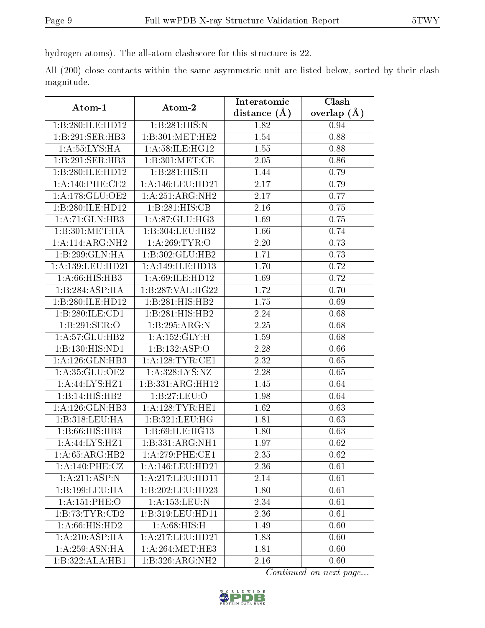hydrogen atoms). The all-atom clashscore for this structure is 22.

All (200) close contacts within the same asymmetric unit are listed below, sorted by their clash magnitude.

| Atom-1               | Atom-2                       | Interatomic      | Clash         |
|----------------------|------------------------------|------------------|---------------|
|                      |                              | distance $(\AA)$ | overlap $(A)$ |
| 1:B:280:ILE:HD12     | 1:B:281:HIS:N                | 1.82             | 0.94          |
| 1:B:291:SER:HB3      | 1:B:301:MET:HE2              | 1.54             | 0.88          |
| 1: A: 55: LYS: HA    | 1: A:58: ILE: HG12           | 1.55             | 0.88          |
| 1:B:291:SER:HB3      | 1:B:301:MET:CE               | 2.05             | 0.86          |
| 1:B:280:ILE:HD12     | 1:B:281:HIS:H                | 1.44             | 0.79          |
| $1: A:140:$ PHE:CE2  | 1:A:146:LEU:HD21             | 2.17             | 0.79          |
| 1:A:178:GLU:OE2      | 1:A:251:ARG:NH2              | 2.17             | 0.77          |
| 1:B:280:ILE:HD12     | 1:B:281:HIS:CB               | 2.16             | 0.75          |
| 1:A:71:GLN:HB3       | 1:A:87:GLU:HG3               | 1.69             | 0.75          |
| 1:B:301:MET:HA       | 1:B:304:LEU:HB2              | 1.66             | 0.74          |
| 1:A:114:ARG:NH2      | 1: A:269:TYR:O               | 2.20             | 0.73          |
| 1:B:299:GLN:HA       | 1:B:302:GLU:HB2              | 1.71             | 0.73          |
| 1: A: 139: LEU: HD21 | 1:A:149:ILE:HD13             | 1.70             | 0.72          |
| 1:A:66:HIS:HB3       | 1: A:69: ILE: HD12           | 1.69             | 0.72          |
| 1:B:284:ASP:HA       | 1:B:287:VAL:HG22             | 1.72             | 0.70          |
| 1:B:280:ILE:HD12     | 1:B:281:HIS:HB2              | 1.75             | 0.69          |
| 1:B:280:ILE:CD1      | $1:B:281:HIS:H\overline{B2}$ | 2.24             | 0.68          |
| 1:B:291:SER:O        | 1:B:295:ARG:N                | 2.25             | 0.68          |
| 1:A:57:GLU:HB2       | 1:A:152:GLY:H                | 1.59             | 0.68          |
| 1:B:130:HIS:ND1      | 1:B:132:ASP:O                | 2.28             | 0.66          |
| 1:A:126:GLN:HB3      | 1: A: 128: TYR: CE1          | 2.32             | 0.65          |
| 1:A:35:GLU:OE2       | 1: A:328: LYS: NZ            | 2.28             | 0.65          |
| 1:A:44:LYS:HZ1       | 1:B:331:ARG:HH12             | 1.45             | 0.64          |
| 1:B:14:HIS:HB2       | 1:B:27:LEU:O                 | 1.98             | 0.64          |
| 1:A:126:GLN:HB3      | 1: A:128: TYR: HE1           | 1.62             | 0.63          |
| 1:B:318:LEU:HA       | 1:B:321:LEU:HG               | 1.81             | 0.63          |
| 1:B:66:HIS:HB3       | 1:B:69:ILE:HG13              | 1.80             | 0.63          |
| 1:A:44:LYS:HZ1       | 1:B:331:ARG:NH1              | 1.97             | 0.62          |
| 1:A:65:ARG:HB2       | 1:A:279:PHE:CE1              | 2.35             | 0.62          |
| 1:A:140:PHE:CZ       | 1:A:146:LEU:HD21             | 2.36             | 0.61          |
| 1:A:211:ASP:N        | 1:A:217:LEU:HD11             | 2.14             | 0.61          |
| 1:B:199:LEU:HA       | 1:B:202:LEU:HD23             | 1.80             | 0.61          |
| 1:A:151:PHE:O        | 1:A:153:LEU:N                | 2.34             | 0.61          |
| 1:B:73:TYR:CD2       | 1:B:319:LEU:HD11             | 2.36             | 0.61          |
| 1: A:66: HIS: HD2    | 1: A:68: HIS:H               | 1.49             | 0.60          |
| 1: A:210: ASP:HA     | 1:A:217:LEU:HD21             | 1.83             | 0.60          |
| 1: A:259: ASN: HA    | 1: A:264:MET:HE3             | 1.81             | 0.60          |
| 1:B:322:ALA:HB1      | 1:B:326:ARG:NH2              | 2.16             | 0.60          |

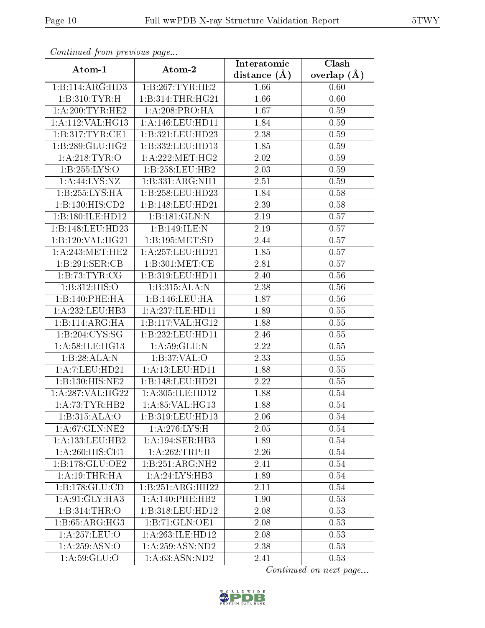| Continuea from previous page             |                    | Interatomic      | Clash         |
|------------------------------------------|--------------------|------------------|---------------|
| Atom-1                                   | Atom-2             | distance $(\AA)$ | overlap $(A)$ |
| 1:B:114:ARG:HD3                          | 1:B:267:TYR:HE2    | 1.66             | 0.60          |
| 1:B:310:TYR:H                            | 1:B:314:THR:HG21   | 1.66             | 0.60          |
| 1: A:200:TYR:HE2                         | 1: A:208:PRO:HA    | 1.67             | 0.59          |
| 1:A:112:VAL:HG13                         | 1:A:146:LEU:HD11   | 1.84             | 0.59          |
| 1:B:317:TYR:CE1                          | 1:B:321:LEU:HD23   | 2.38             | 0.59          |
| 1:B:289:GLU:HG2                          | 1:B:332:LEU:HD13   | 1.85             | 0.59          |
| 1: A:218: TYR:O                          | 1: A:222: MET:HG2  | 2.02             | 0.59          |
| 1:B:255:LYS:O                            | 1:B:258:LEU:HB2    | 2.03             | 0.59          |
| $1:A:44:\text{LYS}:NZ$                   | 1:B:331:ARG:NH1    | 2.51             | 0.59          |
| 1:B:255:LYS:HA                           | 1:B:258:LEU:HD23   | 1.84             | 0.58          |
| 1:B:130:HIS:CD2                          | 1:B:148:LEU:HD21   | 2.39             | 0.58          |
| 1:B:180:ILE:HD12                         | 1:B:181:GLN:N      | 2.19             | 0.57          |
| 1:B:148:LEU:HD23                         | 1:B:149:ILE:N      | 2.19             | 0.57          |
| 1:B:120:VAL:HG21                         | 1:B:195:MET:SD     | 2.44             | 0.57          |
| 1: A:243:MET:HE2                         | 1:A:257:LEU:HD21   | 1.85             | 0.57          |
| 1:B:291:SER:CB                           | 1: B:301: MET:CE   | 2.81             | 0.57          |
| 1:B:73:TYR:CG                            | 1:B:319:LEU:HD11   | 2.40             | 0.56          |
| 1: B: 312: HIS: O                        | 1:B:315:ALA:N      | 2.38             | 0.56          |
| 1:B:140:PHE:HA                           | 1:B:146:LEU:HA     | 1.87             | 0.56          |
| 1: A: 232: LEU: HB3                      | 1:A:237:ILE:HD11   | 1.89             | 0.55          |
| 1:B:114:ARG:HA                           | 1:B:117:VAL:HG12   | 1.88             | 0.55          |
| 1:B:204:CYS:SG                           | 1:B:232:LEU:HD11   | 2.46             | 0.55          |
| 1:A:58:ILE:HG13                          | 1: A:59: GLU:N     | 2.22             | 0.55          |
| 1:B:28:ALA:N                             | 1: B:37: VAL:O     | 2.33             | 0.55          |
| 1:A:7:LEU:HD21                           | 1: A:13: LEU: HD11 | 1.88             | 0.55          |
| 1:B:130:HIS:NE2                          | 1:B:148:LEU:HD21   | 2.22             | 0.55          |
| $1:\overline{A}:287:\overline{VAL}:HG22$ | 1:A:305:ILE:HD12   | 1.88             | 0.54          |
| 1: A:73:TYR:HB2                          | 1: A:85: VAL:HG13  | 1.88             | 0.54          |
| 1:B:315:ALA:O                            | 1:B:319:LEU:HD13   | 2.06             | 0.54          |
| 1: A:67: GLN:NE2                         | 1: A:276: LYS: H   | 2.05             | 0.54          |
| 1: A: 133: LEU: HB2                      | 1:A:194:SER:HB3    | 1.89             | 0.54          |
| 1: A:260: HIS: CE1                       | 1:A:262:TRP:H      | 2.26             | 0.54          |
| 1:B:178:GLU:OE2                          | 1:B:251:ARG:NH2    | 2.41             | 0.54          |
| 1:A:19:THR:HA                            | 1:A:24:LYS:HB3     | 1.89             | 0.54          |
| 1:B:178:GLU:CD                           | 1:B:251:ARG:HH22   | 2.11             | 0.54          |
| 1: A:91: GLY: HA3                        | 1:A:140:PHE:HB2    | 1.90             | 0.53          |
| 1:B:314:THR:O                            | 1:B:318:LEU:HD12   | 2.08             | 0.53          |
| 1: B:65: ARG: HG3                        | 1:B:71:GLN:OE1     | 2.08             | 0.53          |
| 1:A:257:LEU:O                            | 1:A:263:ILE:HD12   | 2.08             | 0.53          |
| 1: A:259: ASN:O                          | 1: A:259: ASN:ND2  | 2.38             | 0.53          |
| 1: A:59: GLU:O                           | 1:A:63:ASN:ND2     | 2.41             | 0.53          |

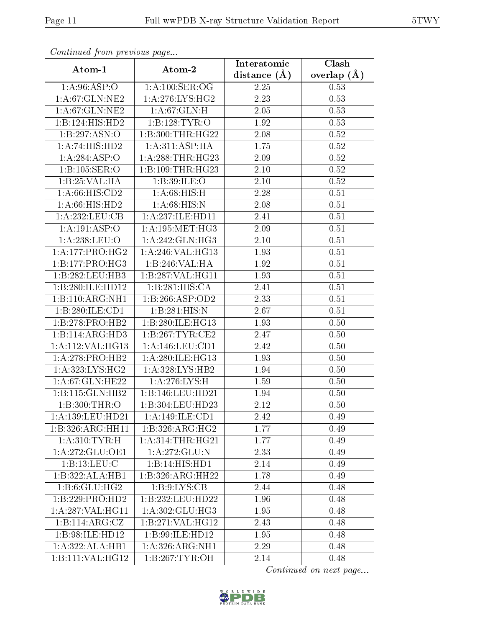| Continuea from previous page |                             | Interatomic       | Clash         |  |
|------------------------------|-----------------------------|-------------------|---------------|--|
| Atom-1                       | Atom-2                      | distance $(A)$    | overlap $(A)$ |  |
| 1: A:96: ASP:O               | 1: A:100: SER:OG            | 2.25              | 0.53          |  |
| 1:A:67:GLN:NE2               | 1:A:276:LYS:HG2             | $\overline{2.23}$ | 0.53          |  |
| 1:A:67:GLN:NE2               | 1: A:67: GLN:H              | 2.05              | 0.53          |  |
| 1:B:124:HIS:HD2              | 1:B:128:TYR:O               | 1.92              | 0.53          |  |
| 1:B:297:ASN:O                | 1:B:300:THR:HG22            | 2.08              | 0.52          |  |
| 1:A:74:HIS:HD2               | 1:A:311:ASP:HA              | 1.75              | 0.52          |  |
| 1:A:284:ASP:O                | 1: A:288:THR:HG23           | 2.09              | 0.52          |  |
| 1:B:105:SER:O                | 1: B:109: THR: HG23         | 2.10              | 0.52          |  |
| 1:B:25:VAL:HA                | 1:B:39:ILE:O                | $2.10\,$          | 0.52          |  |
| 1: A:66: HIS:CD2             | 1: A:68: HIS:H              | 2.28              | 0.51          |  |
| 1: A:66: HIS: HD2            | 1: A:68: HIS:N              | 2.08              | 0.51          |  |
| 1: A: 232: LEU: CB           | 1:A:237:ILE:HD11            | 2.41              | 0.51          |  |
| 1:A:191:ASP:O                | 1: A:195:MET:HG3            | 2.09              | 0.51          |  |
| 1: A:238:LEU:O               | 1:A:242:GLN:HG3             | 2.10              | 0.51          |  |
| 1: A:177: PRO:HG2            | 1:A:246:VAL:HG13            | 1.93              | 0.51          |  |
| 1:B:177:PRO:HG3              | 1:B:246:VAL:HA              | 1.92              | 0.51          |  |
| 1:B:282:LEU:HB3              | 1:B:287:VAL:HG11            | 1.93              | 0.51          |  |
| 1:B:280:ILE:HD12             | $1:B:281:HIS:C\overline{A}$ | 2.41              | 0.51          |  |
| 1:B:110:ARG:NH1              | 1:B:266:ASP:OD2             | 2.33              | 0.51          |  |
| 1:B:280:ILE:CD1              | 1:B:281:HIS:N               | 2.67              | 0.51          |  |
| 1:B:278:PRO:HB2              | 1:B:280:ILE:HG13            | 1.93              | 0.50          |  |
| 1:B:114:ARG:HD3              | 1: B: 267: TYR: CE2         | 2.47              | 0.50          |  |
| 1:A:112:VAL:HG13             | 1:A:146:LEU:CD1             | 2.42              | 0.50          |  |
| 1: A:278: PRO:HB2            | 1:A:280:ILE:HG13            | 1.93              | 0.50          |  |
| 1:A:323:LYS:HG2              | 1: A:328: LYS: HB2          | 1.94              | 0.50          |  |
| 1: A:67: GLN: HE22           | 1:A:276:LYS:H               | 1.59              | 0.50          |  |
| 1:Bi:115:GLN:HB2             | 1:B:146:LEU:HD21            | 1.94              | 0.50          |  |
| 1:B:300:THR:O                | 1:B:304:LEU:HD23            | 2.12              | 0.50          |  |
| 1:A:139:LEU:HD21             | 1:A:149:ILE:CD1             | 2.42              | 0.49          |  |
| 1:B:326:ARG:HH11             | 1:B:326:ARG:HG2             | 1.77              | 0.49          |  |
| 1: A:310: TYR: H             | 1: A:314:THR:HG21           | 1.77              | 0.49          |  |
| 1:A:272:GLU:OE1              | 1:A:272:GLU:N               | 2.33              | 0.49          |  |
| 1:B:13:LEU:C                 | 1:B:14:HIS:HDI              | 2.14              | 0.49          |  |
| 1:B:322:ALA:HB1              | 1:B:326:ARG:HH22            | 1.78              | 0.49          |  |
| 1: B:6: GLU: HG2             | 1: B: 9: LYS: CB            | 2.44              | 0.48          |  |
| 1:B:229:PRO:HD2              | 1:B:232:LEU:HD22            | 1.96              | 0.48          |  |
| 1:A:287:VAL:HG11             | 1:A:302:GLU:HG3             | 1.95              | 0.48          |  |
| $1:B:11\overline{4:ARG:CZ}$  | 1:B:271:VAL:HG12            | 2.43              | 0.48          |  |
| 1:B:98:ILE:HD12              | 1:B:99:ILE:HD12             | 1.95              | 0.48          |  |
| 1:A:322:ALA:HB1              | 1: A:326:ARG:NH1            | 2.29              | 0.48          |  |
| 1:B:111:VAL:HG12             | 1:B:267:TYR:OH              | 2.14              | 0.48          |  |

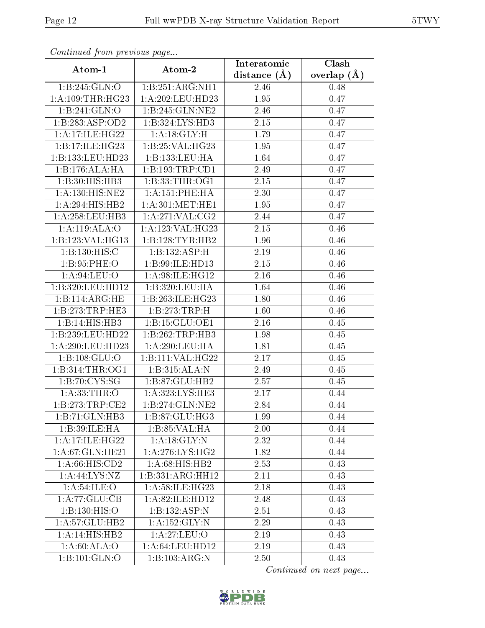| Continuea from previous page |                                | Interatomic    | Clash         |  |
|------------------------------|--------------------------------|----------------|---------------|--|
| Atom-1                       | Atom-2                         | distance $(A)$ | overlap $(A)$ |  |
| 1:B:245:GLN:O                | 1:B:251:ARG:NH1                | 2.46           | 0.48          |  |
| 1:A:109:THR:HG23             | 1:A:202:LEU:HD23               | 1.95           | 0.47          |  |
| 1:B:241:GLN:O                | 1:B:245:GLN:NE2                | 2.46           | 0.47          |  |
| 1:B:283:ASP:OD2              | 1:B:324:LYS:HD3                | 2.15           | 0.47          |  |
| 1: A:17: ILE: HG22           | 1:A:18:GLY:H                   | 1.79           | 0.47          |  |
| 1:B:17:ILE:HG23              | 1:B:25:VAL:HG23                | 1.95           | 0.47          |  |
| 1:B:133:LEU:HD23             | 1:B:133:LEU:HA                 | 1.64           | 0.47          |  |
| 1:B:176:ALA:HA               | 1:B:193:TRP:CD1                | 2.49           | 0.47          |  |
| 1:B:30:HIS:HB3               | 1:B:33:THR:OG1                 | 2.15           | 0.47          |  |
| 1: A: 130: HIS: NE2          | 1: A:151:PHE:HA                | 2.30           | 0.47          |  |
| 1:A:294:HIS:HB2              | 1: A:301: MET:HE1              | 1.95           | 0.47          |  |
| 1: A:258:LEU:HB3             | 1:A:271:VAL:CG2                | 2.44           | 0.47          |  |
| 1:A:119:ALA:O                | 1: A:123: VAL:HG23             | 2.15           | 0.46          |  |
| 1:B:123:VAL:HG13             | 1:B:128:TYR:HB2                | 1.96           | 0.46          |  |
| 1:B:130:HIS:C                | 1:B:132:ASP:H                  | 2.19           | 0.46          |  |
| 1: B:95:PHE:O                | 1:B:99:ILE:HD13                | 2.15           | 0.46          |  |
| 1: A:94: LEU:O               | 1:A:98:ILE:HG12                | 2.16           | 0.46          |  |
| 1:B:320:LEU:HD12             | 1:B:320:LEU:HA                 | 1.64           | 0.46          |  |
| 1:B:114:ARG:HE               | 1:B:263:ILE:HG23               | 1.80           | $0.46\,$      |  |
| 1:B:273:TRP:HE3              | 1:B:273:TRP:H                  | 1.60           | 0.46          |  |
| 1:B:14:HIS:HB3               | 1:B:15:GLU:OE1                 | 2.16           | 0.45          |  |
| 1:B:239:LEU:HD22             | 1:B:262:TRP:HB3                | 1.98           | 0.45          |  |
| 1:A:290:LEU:HD23             | 1:A:290:LEU:HA                 | 1.81           | 0.45          |  |
| 1: B: 108: GLU:O             | 1:B:111:VAL:HG22               | 2.17           | 0.45          |  |
| 1:B:314:THR:OG1              | 1:B:315:ALA:N                  | 2.49           | 0.45          |  |
| 1:B:70:CYS:SG                | 1:B:87:GLU:HB2                 | 2.57           | 0.45          |  |
| 1: A:33:THR:O                | 1:A:323:LYS:HE3                | 2.17           | 0.44          |  |
| 1:B:273:TRP:CE2              | 1:B:274:GLN:NE2                | 2.84           | 0.44          |  |
| 1:B:71:GLN:HB3               | 1:B:87:GLU:HG3                 | 1.99           | 0.44          |  |
| 1:B:39:ILE:HA                | 1:B:85:VAL:HA                  | 2.00           | 0.44          |  |
| 1: A:17: ILE: HG22           | 1:A:18:GLY:N                   | 2.32           | 0.44          |  |
| 1: A:67: GLN: HE21           | 1: A:276: LYS: HG2             | 1.82           | 0.44          |  |
| 1: A:66: HIS:CD2             | 1:A:68:HIS:HB2                 | 2.53           | 0.43          |  |
| 1:A:44:LYS:NZ                | 1:B:331:ARG:HH12               | 2.11           | 0.43          |  |
| 1: A:54:ILE:O                | 1: A:58: ILE: HG23             | 2.18           | 0.43          |  |
| 1:A:77:GLU:CB                | 1:A:82:ILE:HD12                | 2.48           | 0.43          |  |
| 1:B:130:HIS:O                | $1:B:132:ASP:\overline{N}$     | 2.51           | 0.43          |  |
| 1:A:57:GLU:HB2               | $1: A: 152: \overline{GLY: N}$ | 2.29           | 0.43          |  |
| 1:A:14:HIS:HB2               | 1:A:27:LEU:O                   | 2.19           | 0.43          |  |
| 1: A:60:ALA:O                | 1:A:64:LEU:HD12                | 2.19           | 0.43          |  |
| 1:B:101:GLN:O                | 1:B:103:ARG:N                  | 2.50           | 0.43          |  |

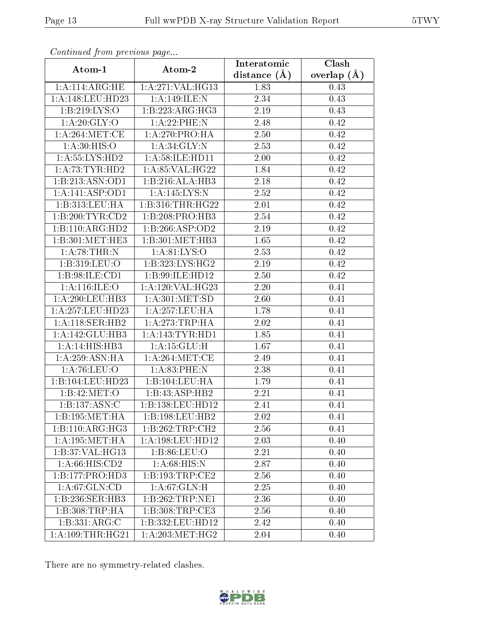| Commuca from previous page   |                                          | Interatomic    | Clash           |
|------------------------------|------------------------------------------|----------------|-----------------|
| Atom-1                       | Atom-2                                   | distance $(A)$ | overlap $(\AA)$ |
| 1: A:114: ARG:HE             | 1:A:271:VAL:HG13                         | 1.83           | 0.43            |
| 1:A:148:LEU:HD23             | 1:A:149:ILE:N                            | 2.34           | 0.43            |
| 1: B: 219: LYS: O            | 1:B:223:ARG:HG3                          | 2.19           | 0.43            |
| 1: A:20: GLY:O               | 1: A:22:PHE:N                            | 2.48           | 0.42            |
| 1: A:264: MET:CE             | 1: A:270:PRO:HA                          | 2.50           | 0.42            |
| 1: A:30: HIS:O               | 1: A:34: GLY:N                           | 2.53           | 0.42            |
| 1: A: 55: LYS: HD2           | 1: A:58: ILE: HD11                       | 2.00           | 0.42            |
| 1: A:73:TYR:HD2              | 1: A:85:VAL:HG22                         | 1.84           | 0.42            |
| 1:B:213:ASN:OD1              | 1:B:216:ALA:HB3                          | 2.18           | 0.42            |
| 1:A:141:ASP:OD1              | 1: A:145:LYS:N                           | 2.52           | 0.42            |
| 1:B:313:LEU:HA               | 1:B:316:THR:HG22                         | 2.01           | 0.42            |
| 1:B:200:TYR:CD2              | 1:B:208:PRO:HB3                          | 2.54           | 0.42            |
| 1:B:110:ARG:HD2              | 1:B:266:ASP:OD2                          | 2.19           | 0.42            |
| 1:B:301:MET:HE3              | 1:B:301:MET:HB3                          | 1.65           | 0.42            |
| 1:A:78:THR:N                 | 1: A:81: LYS:O                           | 2.53           | 0.42            |
| 1:B:319:LEU:O                | 1: B: 323: LYS: HG2                      | 2.19           | 0.42            |
| 1:B:98:ILE:CD1               | 1:B:99:ILE:HD12                          | 2.50           | 0.42            |
| 1: A:116: ILE: O             | $1:\overline{A}:120:\overline{VAL}:HG23$ | 2.20           | 0.41            |
| 1:A:290:LEU:HB3              | 1: A:301: MET:SD                         | 2.60           | 0.41            |
| 1:A:257:LEU:HD23             | 1:A:257:LEU:HA                           | 1.78           | 0.41            |
| 1: A:118: SER: HB2           | 1: A:273:TRP:HA                          | 2.02           | 0.41            |
| 1:A:142:GLU:HB3              | 1: A:143:TYR:HD1                         | 1.85           | 0.41            |
| 1:A:14:HIS:HB3               | 1:A:15:GLU:H                             | 1.67           | 0.41            |
| 1: A:259: ASN: HA            | 1: A:264:MET:CE                          | 2.49           | 0.41            |
| 1:A:76:LEU:O                 | 1: A:83:PHE:N                            | 2.38           | 0.41            |
| 1:B:104:LEU:HD23             | 1:B:104:LEU:HA                           | 1.79           | 0.41            |
| 1: B:42:MET:O                | 1:B:43:ASP:HB2                           | 2.21           | 0.41            |
| 1:B:137:ASN:C                | 1:B:138:LEU:HDI2                         | 2.41           | 0.41            |
| 1:B:195:MET:HA               | 1:B:198:LEU:HB2                          | 2.02           | 0.41            |
| $1:B:110:AR\overline{G:HG3}$ | 1:B:262:TRP:CH2                          | 2.56           | 0.41            |
| 1: A:195:MET:HA              | 1: A: 198: LEU: HD12                     | 2.03           | 0.40            |
| 1:B:37:VAL:HG13              | 1: B:86: LEU:O                           | 2.21           | 0.40            |
| 1:A:66:HIS:CD2               | 1: A:68: HIS:N                           | 2.87           | 0.40            |
| 1:B:177:PRO:HD3              | 1:B:193:TRP:CE2                          | 2.56           | 0.40            |
| 1:A:67:GLN:CD                | 1:A:67:GLN:H                             | 2.25           | 0.40            |
| 1:B:236:SER:HB3              | 1:B:262:TRP:NE1                          | 2.36           | 0.40            |
| 1:B:308:TRP:HA               | 1:B:308:TRP:CE3                          | 2.56           | 0.40            |
| 1:B:331:ARG:C                | 1:B:332:LEU:H <sub>D12</sub>             | 2.42           | 0.40            |
| 1: A: 109: THR: HG21         | 1: A:203:MET:HG2                         | 2.04           | 0.40            |

There are no symmetry-related clashes.

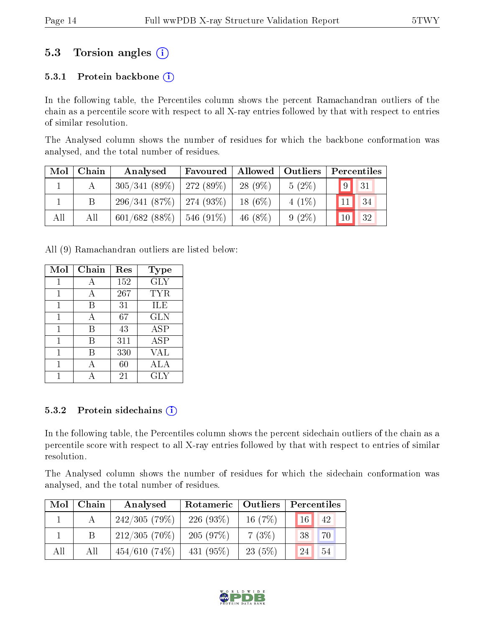## 5.3 Torsion angles (i)

### 5.3.1 Protein backbone  $(i)$

In the following table, the Percentiles column shows the percent Ramachandran outliers of the chain as a percentile score with respect to all X-ray entries followed by that with respect to entries of similar resolution.

The Analysed column shows the number of residues for which the backbone conformation was analysed, and the total number of residues.

| $\text{Mol}$ | Chain | Allowed   Outliers<br>Favoured  <br>Analysed |                  |            |          | Percentiles     |            |
|--------------|-------|----------------------------------------------|------------------|------------|----------|-----------------|------------|
|              |       | $305/341(89\%)$   272 (89\%)                 |                  | $28(9\%)$  | $5(2\%)$ | $\vert 9 \vert$ | $\vert$ 31 |
|              |       | $296/341(87%)$   274 (93%)                   |                  | $18(6\%)$  | $4(1\%)$ | 11              | $\vert$ 34 |
| All          | All   | 601/682(88%)                                 | $1\,546\,(91\%)$ | 46 $(8\%)$ | $9(2\%)$ | 10 <sup>1</sup> | 32         |

All (9) Ramachandran outliers are listed below:

| Mol | Chain | Res | Type       |
|-----|-------|-----|------------|
| 1   |       | 152 | <b>GLY</b> |
|     |       | 267 | TYR        |
| 1   | B     | 31  | ILE        |
| 1   | А     | 67  | <b>GLN</b> |
| 1   | В     | 43  | <b>ASP</b> |
| 1   | В     | 311 | ASP        |
| 1   | В     | 330 | VAL        |
| 1   |       | 60  | ALA        |
|     |       | 21  | GLY        |

#### 5.3.2 Protein sidechains  $(i)$

In the following table, the Percentiles column shows the percent sidechain outliers of the chain as a percentile score with respect to all X-ray entries followed by that with respect to entries of similar resolution.

The Analysed column shows the number of residues for which the sidechain conformation was analysed, and the total number of residues.

| Mol | $\mid$ Chain | Analysed        | Rotameric   Outliers |           | Percentiles        |  |  |
|-----|--------------|-----------------|----------------------|-----------|--------------------|--|--|
|     |              | 242/305(79%)    | 226(93%)             | 16 $(7%)$ | $16 \mid 42$       |  |  |
|     |              | $212/305(70\%)$ | 205(97%)             | 7(3%)     | $70^{\circ}$<br>38 |  |  |
| All | All          | $454/610(74\%)$ | $431(95\%)$          | 23(5%)    | 54<br>24           |  |  |

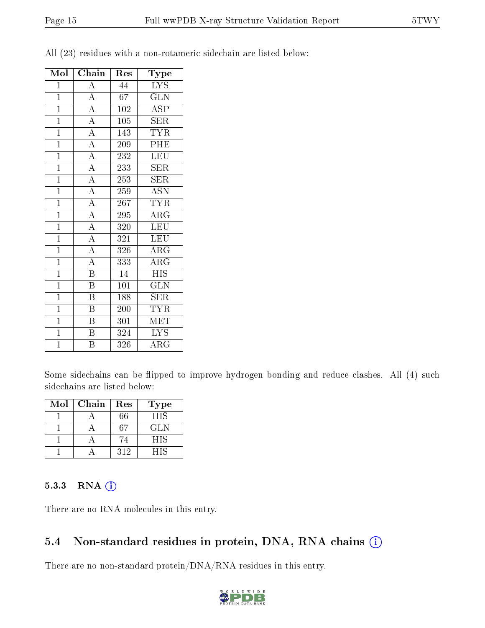| Mol            | Chain                   | Res              | Type                                    |
|----------------|-------------------------|------------------|-----------------------------------------|
| $\overline{1}$ | $\overline{\rm A}$      | 44               | $\overline{\text{L} \text{Y}} \text{S}$ |
| $\mathbf{1}$   | $\overline{A}$          | 67               | GLN                                     |
| $\mathbf{1}$   | $\overline{\rm A}$      | 102              | $\overline{\rm ASP}$                    |
| $\mathbf{1}$   | $\overline{A}$          | 105              | <b>SER</b>                              |
| $\overline{1}$ | $\overline{A}$          | 143              | <b>TYR</b>                              |
| $\overline{1}$ | $\overline{A}$          | 209              | PHE                                     |
| $\mathbf{1}$   | $\overline{A}$          | 232              | LEU                                     |
| $\overline{1}$ | $\overline{A}$          | 233              | $\overline{\text{SER}}$                 |
| $\overline{1}$ | $\overline{A}$          | 253              | SER                                     |
| $\mathbf{1}$   | $\overline{A}$          | 259              | $\overline{\mathrm{ASN}}$               |
| $\mathbf{1}$   | $\overline{A}$          | 267              | <b>TYR</b>                              |
| $\overline{1}$ | $\overline{A}$          | 295              | $\rm{ARG}$                              |
| $\overline{1}$ | $\overline{A}$          | 320              | <b>LEU</b>                              |
| $\mathbf{1}$   | $\overline{A}$          | 321              | <b>LEU</b>                              |
| $\overline{1}$ | $\overline{A}$          | 326              | $\overline{\rm{ARG}}$                   |
| $\overline{1}$ | $\overline{A}$          | 333              | $\rm{ARG}$                              |
| $\mathbf{1}$   | $\overline{\mathrm{B}}$ | 14               | <b>HIS</b>                              |
| $\mathbf{1}$   | $\overline{\mathrm{B}}$ | 101              | $\overline{\text{GLN}}$                 |
| $\mathbf{1}$   | $\overline{\mathrm{B}}$ | 188              | <b>SER</b>                              |
| $\overline{1}$ | $\overline{\mathrm{B}}$ | $\overline{200}$ | $\overline{\text{TYR}}$                 |
| $\mathbf{1}$   | $\overline{\mathrm{B}}$ | 301              | MET                                     |
| $\overline{1}$ | $\overline{\mathrm{B}}$ | 324              | <b>LYS</b>                              |
| $\overline{1}$ | B                       | 326              | $\rm{ARG}$                              |

All (23) residues with a non-rotameric sidechain are listed below:

Some sidechains can be flipped to improve hydrogen bonding and reduce clashes. All (4) such sidechains are listed below:

| Mol | Chain | Res | Type |
|-----|-------|-----|------|
|     |       | 66  | HIS  |
|     |       | 67  | GLN  |
|     |       | 74  | HIS  |
|     |       | 312 | НIS  |

#### 5.3.3 RNA [O](https://www.wwpdb.org/validation/2017/XrayValidationReportHelp#rna)i

There are no RNA molecules in this entry.

## 5.4 Non-standard residues in protein, DNA, RNA chains (i)

There are no non-standard protein/DNA/RNA residues in this entry.

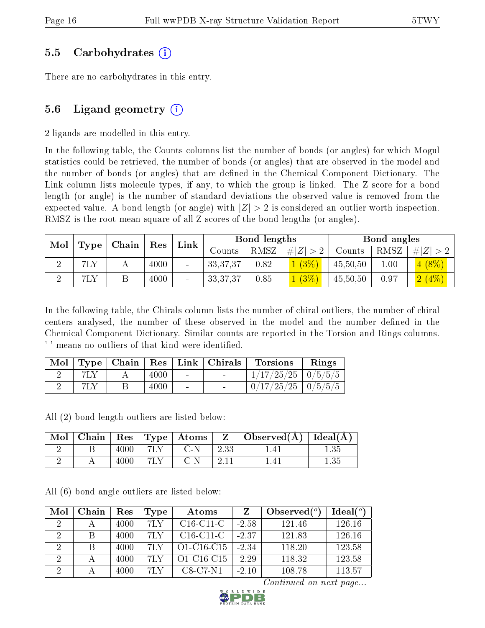### 5.5 Carbohydrates (i)

There are no carbohydrates in this entry.

### 5.6 Ligand geometry  $(i)$

2 ligands are modelled in this entry.

In the following table, the Counts columns list the number of bonds (or angles) for which Mogul statistics could be retrieved, the number of bonds (or angles) that are observed in the model and the number of bonds (or angles) that are dened in the Chemical Component Dictionary. The Link column lists molecule types, if any, to which the group is linked. The Z score for a bond length (or angle) is the number of standard deviations the observed value is removed from the expected value. A bond length (or angle) with  $|Z| > 2$  is considered an outlier worth inspection. RMSZ is the root-mean-square of all Z scores of the bond lengths (or angles).

| Mol | Type | Chain | $^{\circ}$ Res |                          |                          | Bond lengths |             |          | Bond angles |          |
|-----|------|-------|----------------|--------------------------|--------------------------|--------------|-------------|----------|-------------|----------|
|     |      |       |                | $Link \mid$              | $\mathbb{C}{\rm counts}$ | RMSZ         | $\# Z  > 2$ | Counts   | RMSZ        | H  Z     |
|     | 7LY  |       | 4000           | $\overline{\phantom{0}}$ | 33, 37, 37               | 0.82         | (3%)        | 45,50,50 | 1.00        | $4(8\%)$ |
|     | 7LY  |       | 4000           | -                        | 33, 37, 37               | 0.85         | $(3\%)$     | 45,50,50 | 0.97        | 2(4%)    |

In the following table, the Chirals column lists the number of chiral outliers, the number of chiral centers analysed, the number of these observed in the model and the number defined in the Chemical Component Dictionary. Similar counts are reported in the Torsion and Rings columns. '-' means no outliers of that kind were identified.

| Mol |  |      |                          | $\vert$ Type $\vert$ Chain $\vert$ Res $\vert$ Link $\vert$ Chirals | Torsions                 | Rings |
|-----|--|------|--------------------------|---------------------------------------------------------------------|--------------------------|-------|
|     |  | 4000 | <b>Contract</b>          |                                                                     | $1/17/25/25$   $0/5/5/5$ |       |
|     |  | 4000 | $\overline{\phantom{0}}$ |                                                                     | $0/17/25/25$   $0/5/5/5$ |       |

All (2) bond length outliers are listed below:

| Mol |      |     | Chain   Res   Type   Atoms |      | $\mid$ Observed( $\AA$ ) $\mid$ Ideal( $\AA$ ) |      |
|-----|------|-----|----------------------------|------|------------------------------------------------|------|
|     | 4000 | 7LY | C N                        | 2.33 |                                                |      |
|     | 4000 | 7LY | C-N                        |      |                                                | 1.35 |

All (6) bond angle outliers are listed below:

| Mol                         | Chain | Res  | Type | Atoms        |         | Observed $(°)$ | Ideal $(°)$ |
|-----------------------------|-------|------|------|--------------|---------|----------------|-------------|
| $\mathcal{D}_{\mathcal{L}}$ |       | 4000 | 7LY  | $C16-C11-C$  | $-2.58$ | 121.46         | 126.16      |
| 2                           |       | 4000 | 7LY  | $C16-C11-C$  | $-2.37$ | 121.83         | 126.16      |
| $\mathcal{D}$               |       | 4000 | 7LY  | $O1-C16-C15$ | $-2.34$ | 118.20         | 123.58      |
| $\Omega$                    |       | 4000 | 7I N | O1-C16-C15   | $-2.29$ | 118.32         | 123.58      |
|                             |       | 4000 | 7I Y | $C8-C7-N1$   | $-2.10$ | 108.78         | 113.57      |

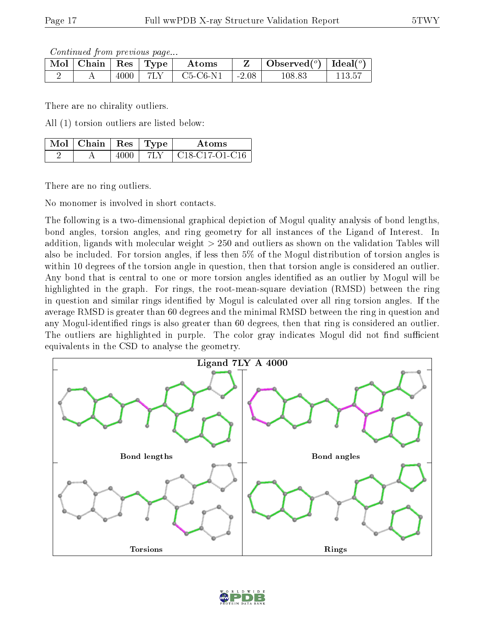Continued from previous page...

| $\sqrt{\text{Mol}}$ Chain   Res   Type $^+$ |      | Atoms      |               | Observed $(^\circ)$ | Ideal $(°)$ |
|---------------------------------------------|------|------------|---------------|---------------------|-------------|
|                                             | 4000 | $C5-C6-N1$ | $\vert$ -2.08 | 108.83              | ! 13.5      |

There are no chirality outliers.

All (1) torsion outliers are listed below:

| $\mathbb{N}$ Mol $\mid$ Chain $\mid$ Res $\mid$ Type $\mid$ |      | Atoms            |
|-------------------------------------------------------------|------|------------------|
|                                                             | 7I N | - C18-C17-O1-C16 |

There are no ring outliers.

No monomer is involved in short contacts.

The following is a two-dimensional graphical depiction of Mogul quality analysis of bond lengths, bond angles, torsion angles, and ring geometry for all instances of the Ligand of Interest. In addition, ligands with molecular weight > 250 and outliers as shown on the validation Tables will also be included. For torsion angles, if less then 5% of the Mogul distribution of torsion angles is within 10 degrees of the torsion angle in question, then that torsion angle is considered an outlier. Any bond that is central to one or more torsion angles identified as an outlier by Mogul will be highlighted in the graph. For rings, the root-mean-square deviation (RMSD) between the ring in question and similar rings identified by Mogul is calculated over all ring torsion angles. If the average RMSD is greater than 60 degrees and the minimal RMSD between the ring in question and any Mogul-identified rings is also greater than 60 degrees, then that ring is considered an outlier. The outliers are highlighted in purple. The color gray indicates Mogul did not find sufficient equivalents in the CSD to analyse the geometry.



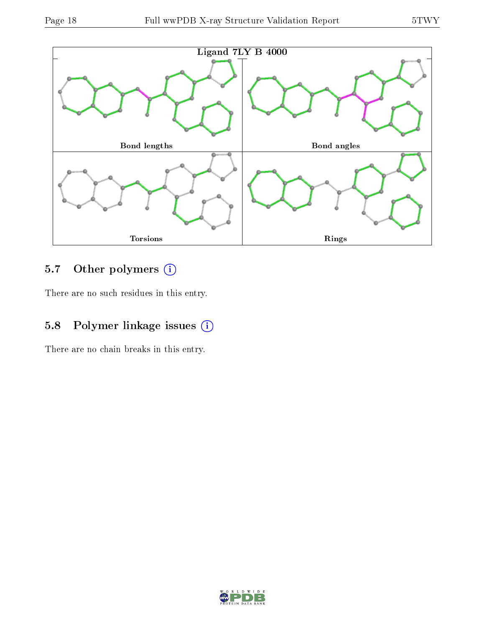

### 5.7 [O](https://www.wwpdb.org/validation/2017/XrayValidationReportHelp#nonstandard_residues_and_ligands)ther polymers (i)

There are no such residues in this entry.

## 5.8 Polymer linkage issues (i)

There are no chain breaks in this entry.

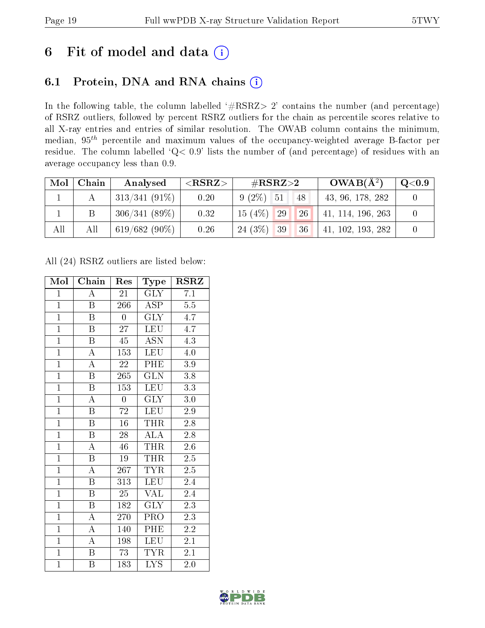## 6 Fit of model and data  $(i)$

## 6.1 Protein, DNA and RNA chains  $(i)$

In the following table, the column labelled  $#RSRZ> 2'$  contains the number (and percentage) of RSRZ outliers, followed by percent RSRZ outliers for the chain as percentile scores relative to all X-ray entries and entries of similar resolution. The OWAB column contains the minimum, median,  $95<sup>th</sup>$  percentile and maximum values of the occupancy-weighted average B-factor per residue. The column labelled ' $Q< 0.9$ ' lists the number of (and percentage) of residues with an average occupancy less than 0.9.

| $\text{Mol}$ | Chain | Analysed        | ${ <\hspace{-1.5pt}{\mathrm{RSRZ}} \hspace{-1.5pt}>}$ | $\#\text{RSRZ}\text{>2}$                      | $OWAB(A^2)$       | $\rm Q\textcolor{black}{<}0.9$ |
|--------------|-------|-----------------|-------------------------------------------------------|-----------------------------------------------|-------------------|--------------------------------|
|              |       | $313/341(91\%)$ | 0.20                                                  | $9(2\%)$ 51<br>48                             | 43, 96, 178, 282  |                                |
|              |       | $306/341(89\%)$ | 0.32                                                  | 15(4%)<br>26 <sup>1</sup><br>$\overline{129}$ | 41, 114, 196, 263 |                                |
| All          | All   | $619/682(90\%)$ | 0.26                                                  | 24(3%)<br>$\vert$ 39<br>36                    | 41, 102, 193, 282 |                                |

All (24) RSRZ outliers are listed below:

| Mol            | Chain                   | Res              | <b>Type</b>             | $\rm RSRZ$       |  |
|----------------|-------------------------|------------------|-------------------------|------------------|--|
| $\mathbf{1}$   | Ā                       | 21               | <b>GLY</b>              | 7.1              |  |
| $\overline{1}$ | $\boldsymbol{B}$        | 266              | ASP                     | 5.5              |  |
| $\overline{1}$ | $\overline{\mathrm{B}}$ | $\boldsymbol{0}$ | $\overline{\text{GLY}}$ | 4.7              |  |
| $\overline{1}$ | $\boldsymbol{B}$        | $27\,$           | <b>LEU</b>              | $4.\overline{7}$ |  |
| $\overline{1}$ | $\overline{\mathrm{B}}$ | 45               | $\overline{ASN}$        | 4.3              |  |
| $\overline{1}$ | $\overline{\rm A}$      | 153              | <b>LEU</b>              | $4.0\,$          |  |
| $\overline{1}$ | $\overline{\rm A}$      | 22               | PHE                     | 3.9              |  |
| $\overline{1}$ | $\overline{\mathrm{B}}$ | 265              | $\overline{\text{GLN}}$ | 3.8              |  |
| $\overline{1}$ | $\overline{\mathrm{B}}$ | $\overline{153}$ | <b>LEU</b>              | 3.3              |  |
| $\overline{1}$ | $\overline{A}$          | $\boldsymbol{0}$ | $\overline{\text{GLY}}$ | $3.0\,$          |  |
| $\mathbf{1}$   | $\boldsymbol{B}$        | 72               | <b>LEU</b>              | $2.9\,$          |  |
| $\overline{1}$ | $\overline{\mathrm{B}}$ | $1\overline{6}$  | <b>THR</b>              | $2.8\,$          |  |
| $\overline{1}$ | $\overline{B}$          | 28               | $\overline{\rm ALA}$    | 2.8              |  |
| $\overline{1}$ | $\mathbf{A}$            | 46               | <b>THR</b>              | $2.6\,$          |  |
| $\overline{1}$ | $\overline{\mathrm{B}}$ | 19               | <b>THR</b>              | $\overline{2.5}$ |  |
| $\overline{1}$ | $\overline{\rm A}$      | 267              | <b>TYR</b>              | $2.5\,$          |  |
| $\overline{1}$ | $\overline{\mathrm{B}}$ | $\overline{313}$ | <b>LEU</b>              | 2.4              |  |
| $\overline{1}$ | $\boldsymbol{B}$        | 25               | VAL                     | 2.4              |  |
| $\overline{1}$ | $\overline{B}$          | 182              | <b>GLY</b>              | 2.3              |  |
| $\overline{1}$ | $\overline{\rm A}$      | 270              | PRO                     | 2.3              |  |
| $\overline{1}$ | $\overline{\rm A}$      | 140              | PHE                     | $2.\overline{2}$ |  |
| $\overline{1}$ | $\overline{\rm A}$      | 198              | <b>LEU</b>              | 2.1              |  |
| $\overline{1}$ | $\boldsymbol{B}$        | 73               | <b>TYR</b>              | $2.1\,$          |  |
| $\overline{1}$ | B                       | 183              | $\overline{\text{LYS}}$ | 2.0              |  |

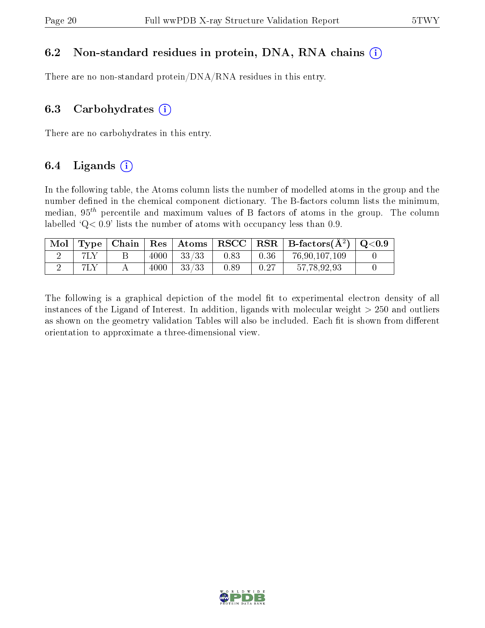### 6.2 Non-standard residues in protein, DNA, RNA chains  $(i)$

There are no non-standard protein/DNA/RNA residues in this entry.

#### 6.3 Carbohydrates  $(i)$

There are no carbohydrates in this entry.

### 6.4 Ligands  $(i)$

In the following table, the Atoms column lists the number of modelled atoms in the group and the number defined in the chemical component dictionary. The B-factors column lists the minimum, median,  $95<sup>th</sup>$  percentile and maximum values of B factors of atoms in the group. The column labelled  $Q < 0.9$ ' lists the number of atoms with occupancy less than 0.9.

| Mol |  |      |       |      |      | $\mid$ Type $\mid$ Chain $\mid$ Res $\mid$ Atoms $\mid$ RSCC $\mid$ RSR $\mid$ B-factors(A <sup>2</sup> ) $\mid$ Q<0.9 |  |
|-----|--|------|-------|------|------|------------------------------------------------------------------------------------------------------------------------|--|
|     |  | 4000 | 33/33 | 0.83 | 0.36 | 76,90,107,109                                                                                                          |  |
|     |  | 4000 | 33/33 | 0.89 | 0.27 | 57.78.92.93                                                                                                            |  |

The following is a graphical depiction of the model fit to experimental electron density of all instances of the Ligand of Interest. In addition, ligands with molecular weight  $> 250$  and outliers as shown on the geometry validation Tables will also be included. Each fit is shown from different orientation to approximate a three-dimensional view.

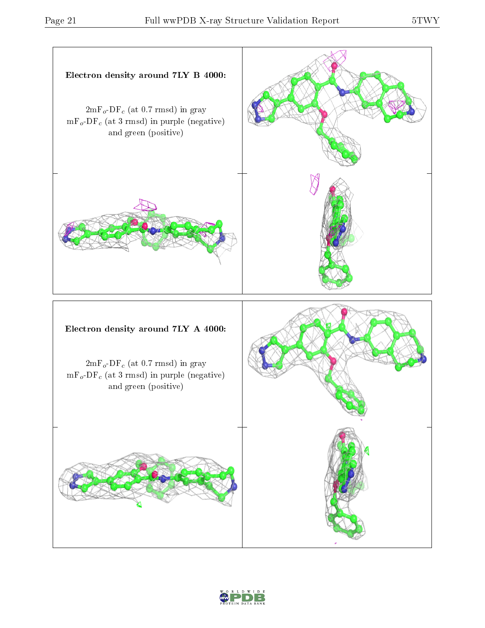